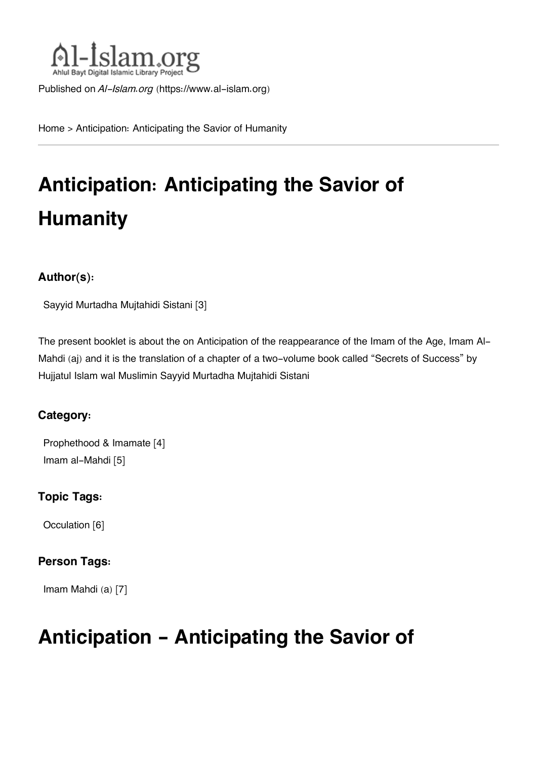

Published on *Al-Islam.org* ([https://www.al-islam.org\)](https://www.al-islam.org)

[Home](https://www.al-islam.org/) > Anticipation: Anticipating the Savior of Humanity

# **Anticipation: Anticipating the Savior of Humanity**

#### **Author(s):**

[Sayyid Murtadha Mujtahidi Sistani](https://www.al-islam.org/person/sayyid-murtadha-mujtahidi-sistani) [3]

The present booklet is about the on Anticipation of the reappearance of the Imam of the Age, Imam Al-Mahdi (aj) and it is the translation of a chapter of a two-volume book called "Secrets of Success" by Hujjatul Islam wal Muslimin Sayyid Murtadha Mujtahidi Sistani

#### **Category:**

[Prophethood & Imamate](https://www.al-islam.org/library/prophethood-imamate) [4] [Imam al-Mahdi](https://www.al-islam.org/library/imam-al-mahdi) [5]

#### **Topic Tags:**

[Occulation](https://www.al-islam.org/tags/occulation) [6]

#### **Person Tags:**

[Imam Mahdi \(a\)](https://www.al-islam.org/person/imam-al-mahdi) [7]

## **Anticipation - Anticipating the Savior of**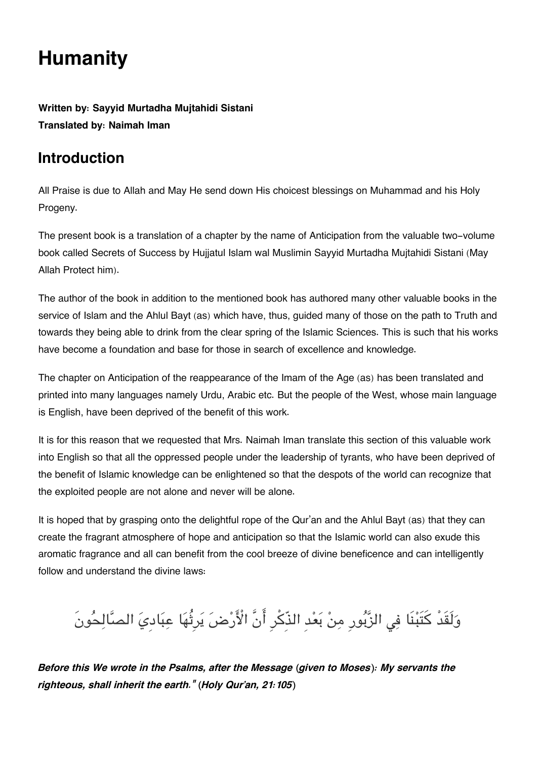## **Humanity**

**Written by: Sayyid Murtadha Mujtahidi Sistani Translated by: Naimah Iman**

## **[Introduction](#page--1-0)**

All Praise is due to Allah and May He send down His choicest blessings on Muhammad and his Holy Progeny.

The present book is a translation of a chapter by the name of Anticipation from the valuable two-volume book called Secrets of Success by Hujjatul Islam wal Muslimin Sayyid Murtadha Mujtahidi Sistani (May Allah Protect him).

The author of the book in addition to the mentioned book has authored many other valuable books in the service of Islam and the Ahlul Bayt (as) which have, thus, guided many of those on the path to Truth and towards they being able to drink from the clear spring of the Islamic Sciences. This is such that his works have become a foundation and base for those in search of excellence and knowledge.

The chapter on Anticipation of the reappearance of the Imam of the Age (as) has been translated and printed into many languages namely Urdu, Arabic etc. But the people of the West, whose main language is English, have been deprived of the benefit of this work.

It is for this reason that we requested that Mrs. Naimah Iman translate this section of this valuable work into English so that all the oppressed people under the leadership of tyrants, who have been deprived of the benefit of Islamic knowledge can be enlightened so that the despots of the world can recognize that the exploited people are not alone and never will be alone.

It is hoped that by grasping onto the delightful rope of the Qur'an and the Ahlul Bayt (as) that they can create the fragrant atmosphere of hope and anticipation so that the Islamic world can also exude this aromatic fragrance and all can benefit from the cool breeze of divine beneficence and can intelligently follow and understand the divine laws:

وَلَقَدْ كَتَبْنَا فِي الزَّبُورِ مِنْ بَعْدِ الذَّكْرِ أَنَّ الْأَرْضَ يَرِثُهَا عِبَادِيَ الصَّالِحُونَ

*Before this We wrote in the Psalms, after the Message (given to Moses): My servants the righteous, shall inherit the earth." (Holy Qur'an, 21:105)*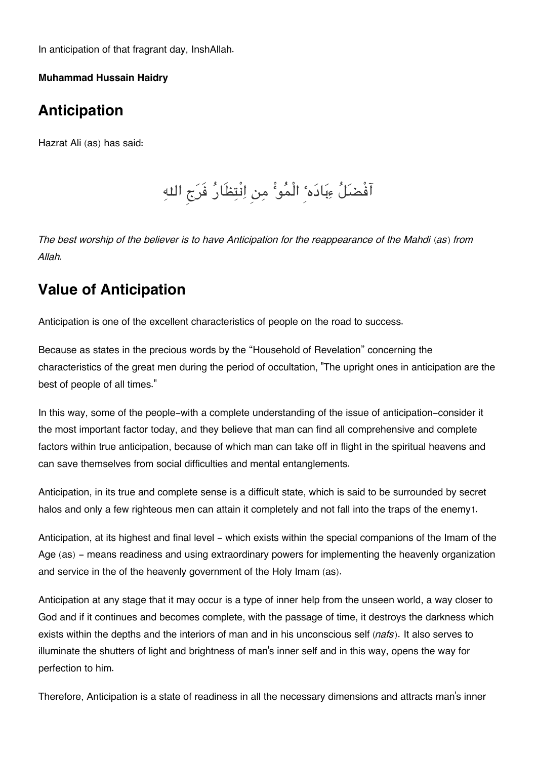In anticipation of that fragrant day, InshAllah.

**Muhammad Hussain Haidry**

## **[Anticipation](#page--1-0)**

Hazrat Ali (as) has said:

آفْضل ءبادهٴِ الْموٴْ من انْتظَار فَرج اله

*The best worship of the believer is to have Anticipation for the reappearance of the Mahdi (as) from Allah.*

## **[Value of Anticipation](#page--1-0)**

Anticipation is one of the excellent characteristics of people on the road to success.

Because as states in the precious words by the "Household of Revelation" concerning the characteristics of the great men during the period of occultation, "The upright ones in anticipation are the best of people of all times."

In this way, some of the people-with a complete understanding of the issue of anticipation-consider it the most important factor today, and they believe that man can find all comprehensive and complete factors within true anticipation, because of which man can take off in flight in the spiritual heavens and can save themselves from social difficulties and mental entanglements.

Anticipation, in its true and complete sense is a difficult state, which is said to be surrounded by secret halos and only a few righteous men can attain it completely and not fall into the traps of the enemy[1](#page--1-0).

Anticipation, at its highest and final level - which exists within the special companions of the Imam of the Age (as) – means readiness and using extraordinary powers for implementing the heavenly organization and service in the of the heavenly government of the Holy Imam (as).

Anticipation at any stage that it may occur is a type of inner help from the unseen world, a way closer to God and if it continues and becomes complete, with the passage of time, it destroys the darkness which exists within the depths and the interiors of man and in his unconscious self (*nafs*). It also serves to illuminate the shutters of light and brightness of man's inner self and in this way, opens the way for perfection to him.

Therefore, Anticipation is a state of readiness in all the necessary dimensions and attracts man's inner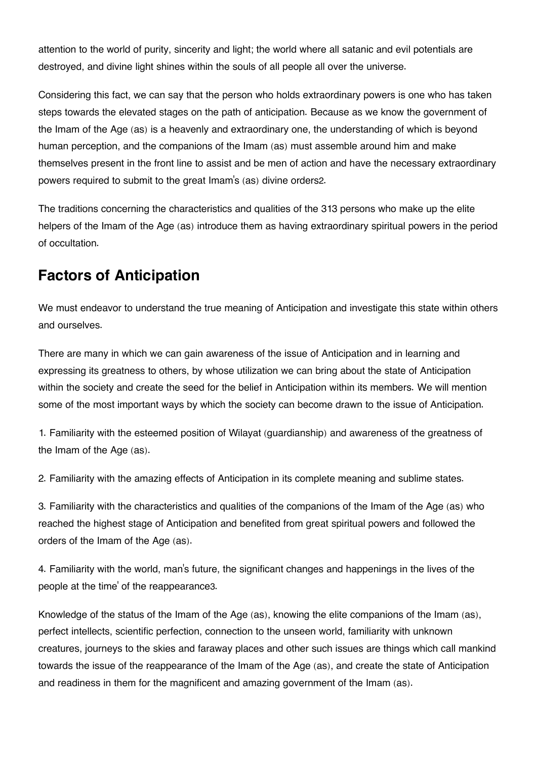attention to the world of purity, sincerity and light; the world where all satanic and evil potentials are destroyed, and divine light shines within the souls of all people all over the universe.

Considering this fact, we can say that the person who holds extraordinary powers is one who has taken steps towards the elevated stages on the path of anticipation. Because as we know the government of the Imam of the Age (as) is a heavenly and extraordinary one, the understanding of which is beyond human perception, and the companions of the Imam (as) must assemble around him and make themselves present in the front line to assist and be men of action and have the necessary extraordinary powers required to submit to the great Imam's (as) divine orders[2](#page--1-0).

The traditions concerning the characteristics and qualities of the 313 persons who make up the elite helpers of the Imam of the Age (as) introduce them as having extraordinary spiritual powers in the period of occultation.

## **[Factors of Anticipation](#page--1-0)**

We must endeavor to understand the true meaning of Anticipation and investigate this state within others and ourselves.

There are many in which we can gain awareness of the issue of Anticipation and in learning and expressing its greatness to others, by whose utilization we can bring about the state of Anticipation within the society and create the seed for the belief in Anticipation within its members. We will mention some of the most important ways by which the society can become drawn to the issue of Anticipation.

1. Familiarity with the esteemed position of Wilayat (guardianship) and awareness of the greatness of the Imam of the Age (as).

2. Familiarity with the amazing effects of Anticipation in its complete meaning and sublime states.

3. Familiarity with the characteristics and qualities of the companions of the Imam of the Age (as) who reached the highest stage of Anticipation and benefited from great spiritual powers and followed the orders of the Imam of the Age (as).

4. Familiarity with the world, man's future, the significant changes and happenings in the lives of the people at the time' of the reappearance[3](#page--1-0).

Knowledge of the status of the Imam of the Age (as), knowing the elite companions of the Imam (as), perfect intellects, scientific perfection, connection to the unseen world, familiarity with unknown creatures, journeys to the skies and faraway places and other such issues are things which call mankind towards the issue of the reappearance of the Imam of the Age (as), and create the state of Anticipation and readiness in them for the magnificent and amazing government of the Imam (as).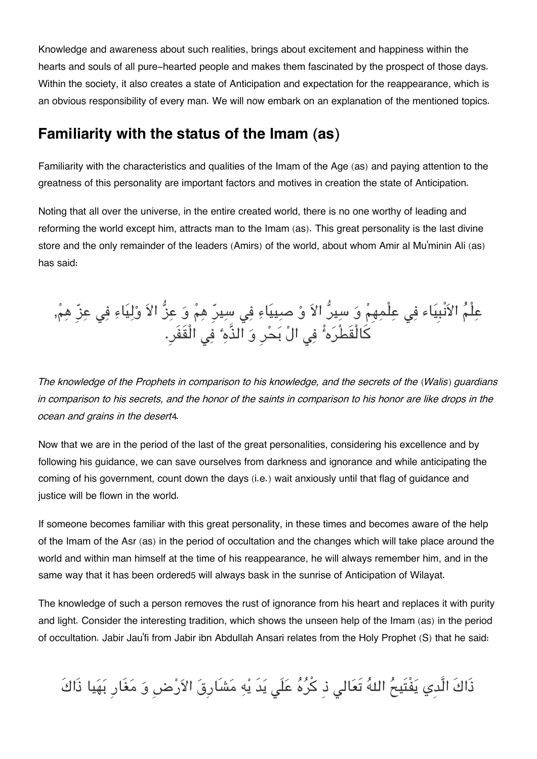Knowledge and awareness about such realities, brings about excitement and happiness within the hearts and souls of all pure-hearted people and makes them fascinated by the prospect of those days. Within the society, it also creates a state of Anticipation and expectation for the reappearance, which is an obvious responsibility of every man. We will now embark on an explanation of the mentioned topics.

### **[Familiarity with the status of the Imam \(as\)](#page--1-0)**

Familiarity with the characteristics and qualities of the Imam of the Age (as) and paying attention to the greatness of this personality are important factors and motives in creation the state of Anticipation.

Noting that all over the universe, in the entire created world, there is no one worthy of leading and reforming the world except him, attracts man to the Imam (as). This great personality is the last divine store and the only remainder of the leaders (Amirs) of the world, about whom Amir al Mu'minin Ali (as) has said:

عِلْمُ الاَنْبِيَاء فِي عِلْمِهِمْ وَ سِيرٌ الاَ وْ صِييَاءِ فِي سِيرٍّ هِمْ وَ عِزُّ الاَ وْلِيَاءِ فِي عِزِّ هِمْ, ِّكَالْقَطْرَهُ ۚ فِي الْ بَحْرِ وَ الذَّهِ ۚ فِي الْقَفَرِ.

*The knowledge of the Prophets in comparison to his knowledge, and the secrets of the (Walis) guardians in comparison to his secrets, and the honor of the saints in comparison to his honor are like drops in the ocean and grains in the desert*[4](#page--1-0)*.*

Now that we are in the period of the last of the great personalities, considering his excellence and by following his guidance, we can save ourselves from darkness and ignorance and while anticipating the coming of his government, count down the days (i.e.) wait anxiously until that flag of guidance and justice will be flown in the world.

If someone becomes familiar with this great personality, in these times and becomes aware of the help of the Imam of the Asr (as) in the period of occultation and the changes which will take place around the world and within man himself at the time of his reappearance, he will always remember him, and in the same way that it has been ordered[5](#page--1-0) will always bask in the sunrise of Anticipation of Wilayat.

The knowledge of such a person removes the rust of ignorance from his heart and replaces it with purity and light. Consider the interesting tradition, which shows the unseen help of the Imam (as) in the period of occultation. Jabir Jau'fi from Jabir ibn Abdullah Ansari relates from the Holy Prophet (S) that he said:

ذَاكَ الَّدِي يَفْتَيحُ اللهُ تَعَالى ذِ كُرُهُ عَلَى يَدَ يْهِ مَشَارِقَ الاَرْضِ وَ مَغَارِ بَهَيا ذَاكَ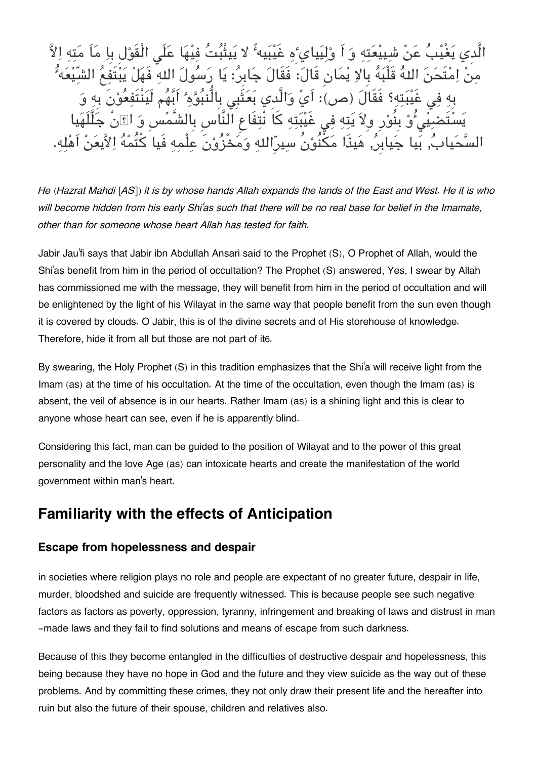يَغْيْبُ عَنْ شِيبْعَتِهِ وَ اَ وْلِيَيايٴِهِ غَيْبَيهٴً لا يَيتْبُتُ فِيْهَا عَلَى الْقَوْلِ بِا مَاَ مَتِهِ مِنْ اِمْتَحَنَ اللهُ قَلْبَهُ بِالاِ يْمَانِ قَالَ: فَقَالَ جَابِرُ: يَا رَسُولَ اللهِ فَهَلْ يَبْتَفِعُ الشّ غَيْبَتِهِ؟ فَقَالَ (ص): اَيْ وَالَّدي بَعَثَبِي بِالّْنبُوَّهِ ۚ اَبَّهُم يُّوْ بِنُوْرِ وِلاَ يَتِهِ فِي غَيْبَتِهِ كَا نْتِفَاعِ النَّاسِ بِالشَّمْسِ وَ اِ۩نْ جَ جَيابِرُ, هَيذَا مَكْنُوْنُ سيرِّالله وَمَخْزُوْنَ عِلْ

*He (Hazrat Mahdi [AS]) it is by whose hands Allah expands the lands of the East and West. He it is who will become hidden from his early Shi'as such that there will be no real base for belief in the Imamate, other than for someone whose heart Allah has tested for faith.*

Jabir Jau'fi says that Jabir ibn Abdullah Ansari said to the Prophet (S), O Prophet of Allah, would the Shi'as benefit from him in the period of occultation? The Prophet (S) answered, Yes, I swear by Allah has commissioned me with the message, they will benefit from him in the period of occultation and will be enlightened by the light of his Wilayat in the same way that people benefit from the sun even though it is covered by clouds. O Jabir, this is of the divine secrets and of His storehouse of knowledge. Therefore, hide it from all but those are not part of it[6](#page--1-0).

By swearing, the Holy Prophet (S) in this tradition emphasizes that the Shi'a will receive light from the Imam (as) at the time of his occultation. At the time of the occultation, even though the Imam (as) is absent, the veil of absence is in our hearts. Rather Imam (as) is a shining light and this is clear to anyone whose heart can see, even if he is apparently blind.

Considering this fact, man can be guided to the position of Wilayat and to the power of this great personality and the love Age (as) can intoxicate hearts and create the manifestation of the world government within man's heart.

### **[Familiarity with the effects of Anticipation](#page--1-0)**

#### **[Escape from hopelessness and despair](#page--1-0)**

in societies where religion plays no role and people are expectant of no greater future, despair in life, murder, bloodshed and suicide are frequently witnessed. This is because people see such negative factors as factors as poverty, oppression, tyranny, infringement and breaking of laws and distrust in man -made laws and they fail to find solutions and means of escape from such darkness.

Because of this they become entangled in the difficulties of destructive despair and hopelessness, this being because they have no hope in God and the future and they view suicide as the way out of these problems. And by committing these crimes, they not only draw their present life and the hereafter into ruin but also the future of their spouse, children and relatives also.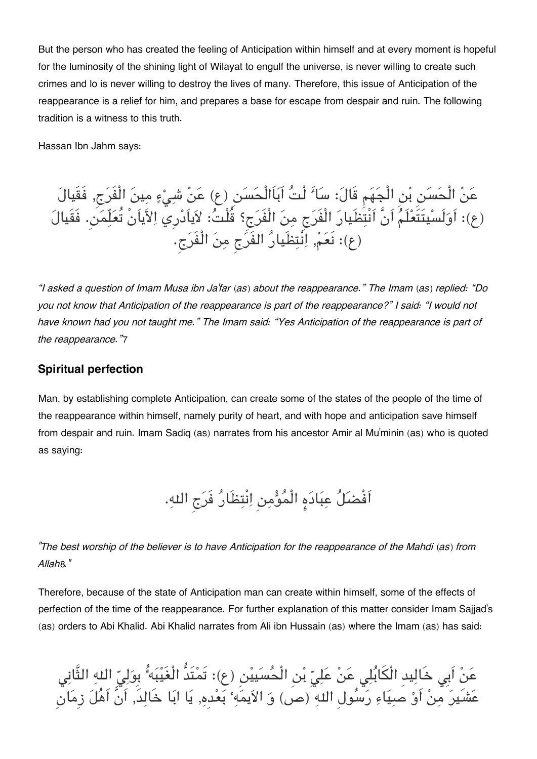But the person who has created the feeling of Anticipation within himself and at every moment is hopeful for the luminosity of the shining light of Wilayat to engulf the universe, is never willing to create such crimes and lo is never willing to destroy the lives of many. Therefore, this issue of Anticipation of the reappearance is a relief for him, and prepares a base for escape from despair and ruin. The following tradition is a witness to this truth.

Hassan Ibn Jahm says:

عَنْ الْحَسَن بْنِ الْجَهَمِ قَالَ: سَاٴَ لْتُ اَبَاَالْحَسَنِ (ع) عَنْ شِيْءٍ مِينَ الْفَرَجِ, فَقَيالَ (ع): اَولَسيتَتَعلَم اَنَّ اَنْتظَيار الْفَرج من الْفَرج؟ قُلْت: لاياَدرِي الاياَنْ تُعلّمن. فَقَيال (ع): نَعم, انْتظَيار الفَرج من الْفَرج.

*"I asked a question of Imam Musa ibn Ja'far (as) about the reappearance." The Imam (as) replied: "Do you not know that Anticipation of the reappearance is part of the reappearance?" I said: "I would not have known had you not taught me." The Imam said: "Yes Anticipation of the reappearance is part of the reappearance."*[7](#page--1-0)

#### **[Spiritual perfection](#page--1-0)**

Man, by establishing complete Anticipation, can create some of the states of the people of the time of the reappearance within himself, namely purity of heart, and with hope and anticipation save himself from despair and ruin. Imam Sadiq (as) narrates from his ancestor Amir al Mu'minin (as) who is quoted as saying:

اَفْضَلُ عِبَادَهِ الْمُؤْمِنِ اِنْتِظَارُ فَرَجِ اللهِ.

*"The best worship of the believer is to have Anticipation for the reappearance of the Mahdi (as) from Allah*[8](#page--1-0)*."*

Therefore, because of the state of Anticipation man can create within himself, some of the effects of perfection of the time of the reappearance. For further explanation of this matter consider Imam Sajjad's (as) orders to Abi Khalid. Abi Khalid narrates from Ali ibn Hussain (as) where the Imam (as) has said:

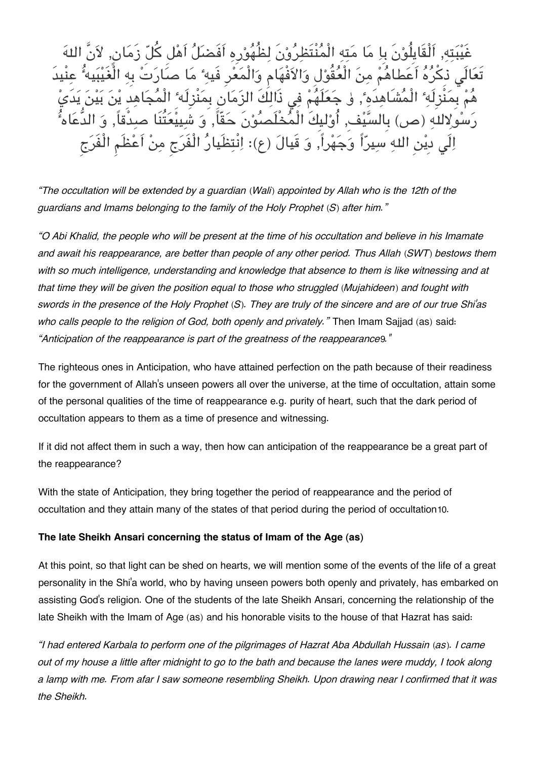غَيْبَتِهِ, اَلْقَايِلُوْنَ بِا مَا مَتِهِ الْمُنْتَظِرُوْنَ لِظُهُوْرِهِ اَفَضَلُّ اَهْل كُلّ زَمَان, لاَر تَعَالَي ذِكْرُهُ اَعَطاهُمْ مِنَ الْعُقُوْلِ وَالاَفْهَامِ وَالْمَعْرِ فَيهِ ۚ مَا صَارَتْ بِهِ الْغَيْبَ هُمْ بِمَنَّزِلَهِ ۚ الْمُشَاهِدَهِ ۚ, و جَعَلَهُمْ فِى ذَالِكَ الزَمَانِ بِمَنْزِلَه ۚ الْمُجَاهِدِ يْنَ بَيْنَ يَد رَسُولاللَهِ (ص) بِالسَّيْف, أُوْليكَ الْمُخْلَصُوْنَ حَقّاً, وَ شَيِيْعَتُنَا صدْقَاً, وَ الدُّعَ الَى دِيْنِ اللهِ سِيرّاً وَجَهْراً, وَ قَيالَ (ع): اِنْتِظَيارُ الْفَرَجِ مِنْ اَعْظَمِ الْفَرَجِ

*"The occultation will be extended by a guardian (Wali) appointed by Allah who is the 12th of the guardians and Imams belonging to the family of the Holy Prophet (S) after him."*

*"O Abi Khalid, the people who will be present at the time of his occultation and believe in his Imamate and await his reappearance, are better than people of any other period. Thus Allah (SWT) bestows them with so much intelligence, understanding and knowledge that absence to them is like witnessing and at that time they will be given the position equal to those who struggled (Mujahideen) and fought with swords in the presence of the Holy Prophet (S). They are truly of the sincere and are of our true Shi'as who calls people to the religion of God, both openly and privately."* Then Imam Sajjad (as) said: *"Anticipation of the reappearance is part of the greatness of the reappearance*[9](#page--1-0)*."*

The righteous ones in Anticipation, who have attained perfection on the path because of their readiness for the government of Allah's unseen powers all over the universe, at the time of occultation, attain some of the personal qualities of the time of reappearance e.g. purity of heart, such that the dark period of occultation appears to them as a time of presence and witnessing.

If it did not affect them in such a way, then how can anticipation of the reappearance be a great part of the reappearance?

With the state of Anticipation, they bring together the period of reappearance and the period of occultation and they attain many of the states of that period during the period of occultation[10](#page--1-0).

#### **[The late Sheikh Ansari concerning the status of Imam of the Age \(as\)](#page--1-0)**

At this point, so that light can be shed on hearts, we will mention some of the events of the life of a great personality in the Shi'a world, who by having unseen powers both openly and privately, has embarked on assisting God's religion. One of the students of the late Sheikh Ansari, concerning the relationship of the late Sheikh with the Imam of Age (as) and his honorable visits to the house of that Hazrat has said:

*"I had entered Karbala to perform one of the pilgrimages of Hazrat Aba Abdullah Hussain (as). I came out of my house a little after midnight to go to the bath and because the lanes were muddy, I took along a lamp with me. From afar I saw someone resembling Sheikh. Upon drawing near I confirmed that it was the Sheikh.*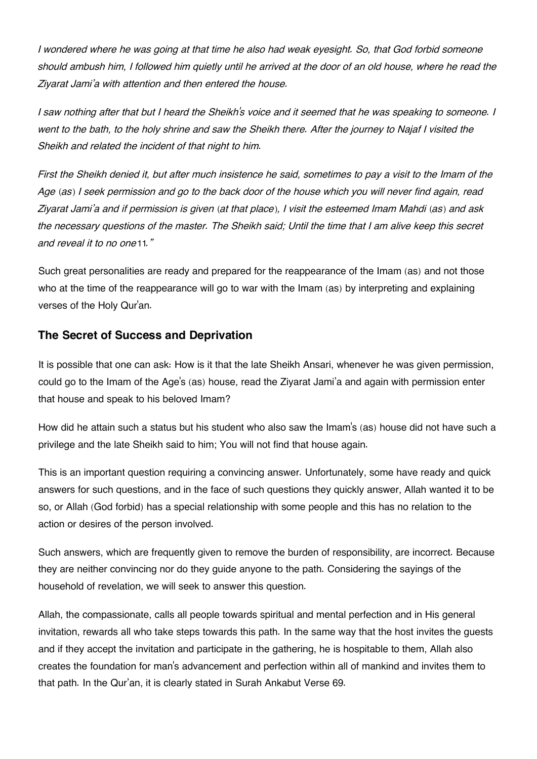*I wondered where he was going at that time he also had weak eyesight. So, that God forbid someone should ambush him, I followed him quietly until he arrived at the door of an old house, where he read the Ziyarat Jami'a with attention and then entered the house.*

*I saw nothing after that but I heard the Sheikh's voice and it seemed that he was speaking to someone. I went to the bath, to the holy shrine and saw the Sheikh there. After the journey to Najaf I visited the Sheikh and related the incident of that night to him.*

*First the Sheikh denied it, but after much insistence he said, sometimes to pay a visit to the Imam of the Age (as) I seek permission and go to the back door of the house which you will never find again, read Ziyarat Jami'a and if permission is given (at that place), I visit the esteemed Imam Mahdi (as) and ask the necessary questions of the master. The Sheikh said; Until the time that I am alive keep this secret and reveal it to no one*[11](#page--1-0)*."*

Such great personalities are ready and prepared for the reappearance of the Imam (as) and not those who at the time of the reappearance will go to war with the Imam (as) by interpreting and explaining verses of the Holy Qur'an.

#### **[The Secret of Success and Deprivation](#page--1-0)**

It is possible that one can ask: How is it that the late Sheikh Ansari, whenever he was given permission, could go to the Imam of the Age's (as) house, read the Ziyarat Jami'a and again with permission enter that house and speak to his beloved Imam?

How did he attain such a status but his student who also saw the Imam's (as) house did not have such a privilege and the late Sheikh said to him; You will not find that house again.

This is an important question requiring a convincing answer. Unfortunately, some have ready and quick answers for such questions, and in the face of such questions they quickly answer, Allah wanted it to be so, or Allah (God forbid) has a special relationship with some people and this has no relation to the action or desires of the person involved.

Such answers, which are frequently given to remove the burden of responsibility, are incorrect. Because they are neither convincing nor do they guide anyone to the path. Considering the sayings of the household of revelation, we will seek to answer this question.

Allah, the compassionate, calls all people towards spiritual and mental perfection and in His general invitation, rewards all who take steps towards this path. In the same way that the host invites the guests and if they accept the invitation and participate in the gathering, he is hospitable to them, Allah also creates the foundation for man's advancement and perfection within all of mankind and invites them to that path. In the Qur'an, it is clearly stated in Surah Ankabut Verse 69.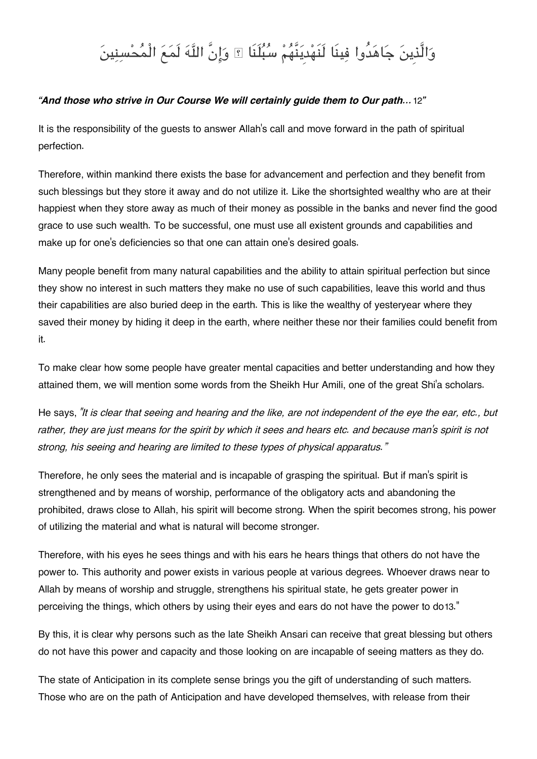# وَالَّذِينَ جَاهَدُوا فِينَا لَنَهْدِيَنَّهُمْ سُبُلَنَا ؟ وَإِنَّ اللَّهَ لَمَعَ الْمُحْسِنِينَ

#### *"And those who strive in Our Course We will certainly guide them to Our path...*[12](#page--1-0)*"*

It is the responsibility of the guests to answer Allah's call and move forward in the path of spiritual perfection.

Therefore, within mankind there exists the base for advancement and perfection and they benefit from such blessings but they store it away and do not utilize it. Like the shortsighted wealthy who are at their happiest when they store away as much of their money as possible in the banks and never find the good grace to use such wealth. To be successful, one must use all existent grounds and capabilities and make up for one's deficiencies so that one can attain one's desired goals.

Many people benefit from many natural capabilities and the ability to attain spiritual perfection but since they show no interest in such matters they make no use of such capabilities, leave this world and thus their capabilities are also buried deep in the earth. This is like the wealthy of yesteryear where they saved their money by hiding it deep in the earth, where neither these nor their families could benefit from it.

To make clear how some people have greater mental capacities and better understanding and how they attained them, we will mention some words from the Sheikh Hur Amili, one of the great Shi'a scholars.

He says, *"It is clear that seeing and hearing and the like, are not independent of the eye the ear, etc., but rather, they are just means for the spirit by which it sees and hears etc. and because man's spirit is not strong, his seeing and hearing are limited to these types of physical apparatus."*

Therefore, he only sees the material and is incapable of grasping the spiritual. But if man's spirit is strengthened and by means of worship, performance of the obligatory acts and abandoning the prohibited, draws close to Allah, his spirit will become strong. When the spirit becomes strong, his power of utilizing the material and what is natural will become stronger.

Therefore, with his eyes he sees things and with his ears he hears things that others do not have the power to. This authority and power exists in various people at various degrees. Whoever draws near to Allah by means of worship and struggle, strengthens his spiritual state, he gets greater power in perceiving the things, which others by using their eyes and ears do not have the power to do[13](#page--1-0)."

By this, it is clear why persons such as the late Sheikh Ansari can receive that great blessing but others do not have this power and capacity and those looking on are incapable of seeing matters as they do.

The state of Anticipation in its complete sense brings you the gift of understanding of such matters. Those who are on the path of Anticipation and have developed themselves, with release from their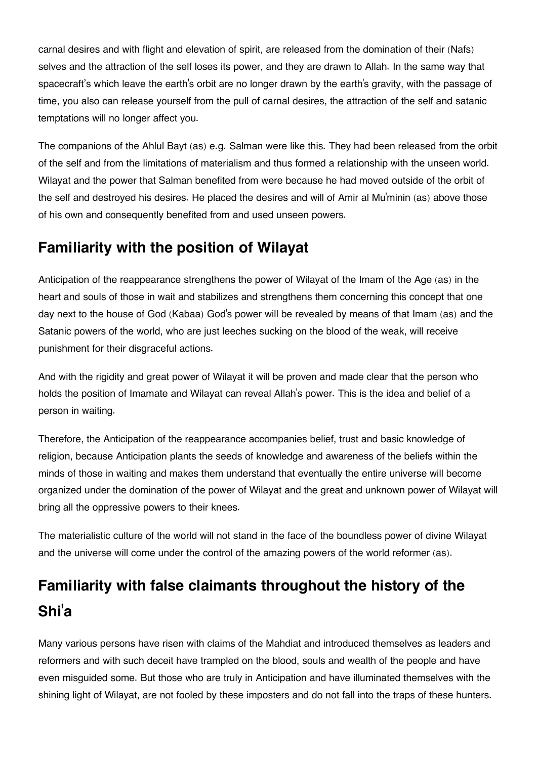carnal desires and with flight and elevation of spirit, are released from the domination of their (Nafs) selves and the attraction of the self loses its power, and they are drawn to Allah. In the same way that spacecraft's which leave the earth's orbit are no longer drawn by the earth's gravity, with the passage of time, you also can release yourself from the pull of carnal desires, the attraction of the self and satanic temptations will no longer affect you.

The companions of the Ahlul Bayt (as) e.g. Salman were like this. They had been released from the orbit of the self and from the limitations of materialism and thus formed a relationship with the unseen world. Wilayat and the power that Salman benefited from were because he had moved outside of the orbit of the self and destroyed his desires. He placed the desires and will of Amir al Mu'minin (as) above those of his own and consequently benefited from and used unseen powers.

## **[Familiarity with the position of Wilayat](#page--1-0)**

Anticipation of the reappearance strengthens the power of Wilayat of the Imam of the Age (as) in the heart and souls of those in wait and stabilizes and strengthens them concerning this concept that one day next to the house of God (Kabaa) God's power will be revealed by means of that Imam (as) and the Satanic powers of the world, who are just leeches sucking on the blood of the weak, will receive punishment for their disgraceful actions.

And with the rigidity and great power of Wilayat it will be proven and made clear that the person who holds the position of Imamate and Wilayat can reveal Allah's power. This is the idea and belief of a person in waiting.

Therefore, the Anticipation of the reappearance accompanies belief, trust and basic knowledge of religion, because Anticipation plants the seeds of knowledge and awareness of the beliefs within the minds of those in waiting and makes them understand that eventually the entire universe will become organized under the domination of the power of Wilayat and the great and unknown power of Wilayat will bring all the oppressive powers to their knees.

The materialistic culture of the world will not stand in the face of the boundless power of divine Wilayat and the universe will come under the control of the amazing powers of the world reformer (as).

## **[Familiarity with false claimants throughout the history of the](#page--1-0) [Shi](#page--1-0)'a**

Many various persons have risen with claims of the Mahdiat and introduced themselves as leaders and reformers and with such deceit have trampled on the blood, souls and wealth of the people and have even misguided some. But those who are truly in Anticipation and have illuminated themselves with the shining light of Wilayat, are not fooled by these imposters and do not fall into the traps of these hunters.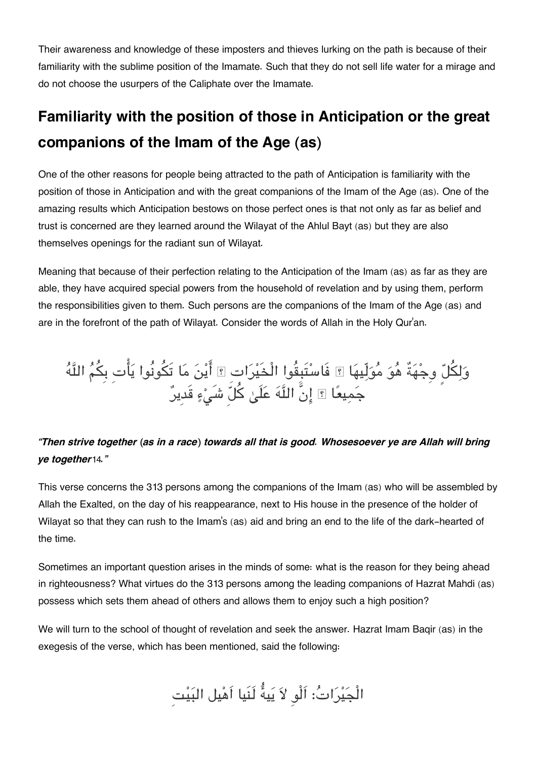Their awareness and knowledge of these imposters and thieves lurking on the path is because of their familiarity with the sublime position of the Imamate. Such that they do not sell life water for a mirage and do not choose the usurpers of the Caliphate over the Imamate.

## **[Familiarity with the position of those in Anticipation or the great](#page--1-0) [companions of the Imam of the Age \(as\)](#page--1-0)**

One of the other reasons for people being attracted to the path of Anticipation is familiarity with the position of those in Anticipation and with the great companions of the Imam of the Age (as). One of the amazing results which Anticipation bestows on those perfect ones is that not only as far as belief and trust is concerned are they learned around the Wilayat of the Ahlul Bayt (as) but they are also themselves openings for the radiant sun of Wilayat.

Meaning that because of their perfection relating to the Anticipation of the Imam (as) as far as they are able, they have acquired special powers from the household of revelation and by using them, perform the responsibilities given to them. Such persons are the companions of the Imam of the Age (as) and are in the forefront of the path of Wilayat. Consider the words of Allah in the Holy Qur'an.

وَلِكُلِّ وِجْهَةٌ هُوَ مُوَلِّيهَا ۞ فَاسْتَبِقُوا الْخَيْرَاتِ ۞ ايْنُ مَا تَكُونُوا يَاتِ بِكُمُ اللّهَ جَمِيعًا ۩ إِنَّ اللَّهَ عَلَىٰ كلَّ شَيْءٍ قَدِيرٌ

#### *"Then strive together (as in a race) towards all that is good. Whosesoever ye are Allah will bring ye together*[14](#page--1-0)*."*

This verse concerns the 313 persons among the companions of the Imam (as) who will be assembled by Allah the Exalted, on the day of his reappearance, next to His house in the presence of the holder of Wilayat so that they can rush to the Imam's (as) aid and bring an end to the life of the dark-hearted of the time.

Sometimes an important question arises in the minds of some: what is the reason for they being ahead in righteousness? What virtues do the 313 persons among the leading companions of Hazrat Mahdi (as) possess which sets them ahead of others and allows them to enjoy such a high position?

We will turn to the school of thought of revelation and seek the answer. Hazrat Imam Baqir (as) in the exegesis of the verse, which has been mentioned, said the following:

الْجَيْرَاتُ: اَلْوِ لاَ يَيهُ لَنَيا اَهْيل البَيْتِ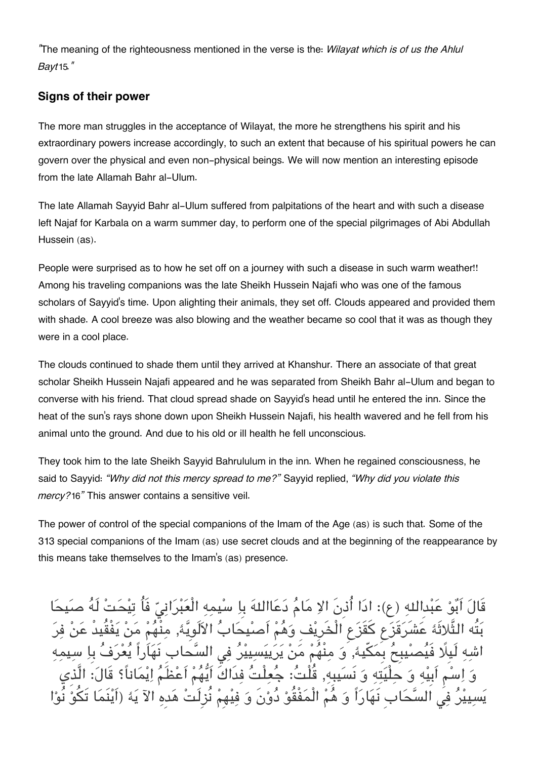*"*The meaning of the righteousness mentioned in the verse is the: *Wilayat which is of us the Ahlul Bayt*[15](#page--1-0)*."*

#### **[Signs of their power](#page--1-0)**

The more man struggles in the acceptance of Wilayat, the more he strengthens his spirit and his extraordinary powers increase accordingly, to such an extent that because of his spiritual powers he can govern over the physical and even non-physical beings. We will now mention an interesting episode from the late Allamah Bahr al-Ulum.

The late Allamah Sayyid Bahr al-Ulum suffered from palpitations of the heart and with such a disease left Najaf for Karbala on a warm summer day, to perform one of the special pilgrimages of Abi Abdullah Hussein (as).

People were surprised as to how he set off on a journey with such a disease in such warm weather!! Among his traveling companions was the late Sheikh Hussein Najafi who was one of the famous scholars of Sayyid's time. Upon alighting their animals, they set off. Clouds appeared and provided them with shade. A cool breeze was also blowing and the weather became so cool that it was as though they were in a cool place.

The clouds continued to shade them until they arrived at Khanshur. There an associate of that great scholar Sheikh Hussein Najafi appeared and he was separated from Sheikh Bahr al-Ulum and began to converse with his friend. That cloud spread shade on Sayyid's head until he entered the inn. Since the heat of the sun's rays shone down upon Sheikh Hussein Najafi, his health wavered and he fell from his animal unto the ground. And due to his old or ill health he fell unconscious.

They took him to the late Sheikh Sayyid Bahrululum in the inn. When he regained consciousness, he said to Sayyid: *"Why did not this mercy spread to me?"* Sayyid replied, *"Why did you violate this mercy?*[16](#page--1-0)*"* This answer contains a sensitive veil.

The power of control of the special companions of the Imam of the Age (as) is such that. Some of the 313 special companions of the Imam (as) use secret clouds and at the beginning of the reappearance by this means take themselves to the Imam's (as) presence.

قَالَ اَبُوْ عَبْدالله (ع): ادَا أُذِنَ الاِ مَامُ دَعَااللهَ بِاِ سْيمه الْعَبْرَانيّ فَاُ تيحَتْ لَهُ ص بَتُه الثَّلاثَۀ عَشَرَقَزَع كَقَزَعِ الْخَرِيْفِ وَهُمْ اَصِيْحَابُ الألَوِيَّۀ, مِنْهُمْ سْيبِحُ بِمَكِّيهٗ, وَ مِنْهُمْ مَنْ يَرَيِيَسِيِيْرُ فِي السَّحاد اَبِيه وَ حلْيَته وَ نَسَيبِه, قُلْتُ: جُعِلْتُ فِدَاكَ اَيُّهُمْ اَعْظَمُ اِيْمَاناً؟ قَالَ: الَّذِي السَّحَابِ نَهَارَاً وَ هُمْ الْمَفْقُوْ دُوْنَ وَ فِيْهِمْ نُزِلَتْ هَدِهِ الآ يَهُ (اَيْنَمَا تَكُوْ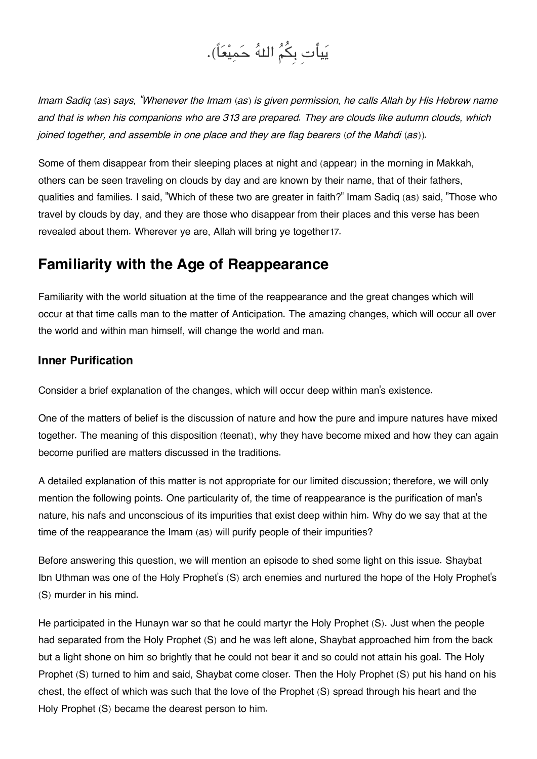

*Imam Sadiq (as) says, "Whenever the Imam (as) is given permission, he calls Allah by His Hebrew name and that is when his companions who are 313 are prepared. They are clouds like autumn clouds, which joined together, and assemble in one place and they are flag bearers (of the Mahdi (as)).*

Some of them disappear from their sleeping places at night and (appear) in the morning in Makkah, others can be seen traveling on clouds by day and are known by their name, that of their fathers, qualities and families. I said, "Which of these two are greater in faith?" Imam Sadiq (as) said, "Those who travel by clouds by day, and they are those who disappear from their places and this verse has been revealed about them. Wherever ye are, Allah will bring ye together[17](#page--1-0).

### **[Familiarity with the Age of Reappearance](#page--1-0)**

Familiarity with the world situation at the time of the reappearance and the great changes which will occur at that time calls man to the matter of Anticipation. The amazing changes, which will occur all over the world and within man himself, will change the world and man.

#### **[Inner Purification](#page--1-0)**

Consider a brief explanation of the changes, which will occur deep within man's existence.

One of the matters of belief is the discussion of nature and how the pure and impure natures have mixed together. The meaning of this disposition (teenat), why they have become mixed and how they can again become purified are matters discussed in the traditions.

A detailed explanation of this matter is not appropriate for our limited discussion; therefore, we will only mention the following points. One particularity of, the time of reappearance is the purification of man's nature, his nafs and unconscious of its impurities that exist deep within him. Why do we say that at the time of the reappearance the Imam (as) will purify people of their impurities?

Before answering this question, we will mention an episode to shed some light on this issue. Shaybat Ibn Uthman was one of the Holy Prophet's (S) arch enemies and nurtured the hope of the Holy Prophet's (S) murder in his mind.

He participated in the Hunayn war so that he could martyr the Holy Prophet (S). Just when the people had separated from the Holy Prophet (S) and he was left alone, Shaybat approached him from the back but a light shone on him so brightly that he could not bear it and so could not attain his goal. The Holy Prophet (S) turned to him and said, Shaybat come closer. Then the Holy Prophet (S) put his hand on his chest, the effect of which was such that the love of the Prophet (S) spread through his heart and the Holy Prophet (S) became the dearest person to him.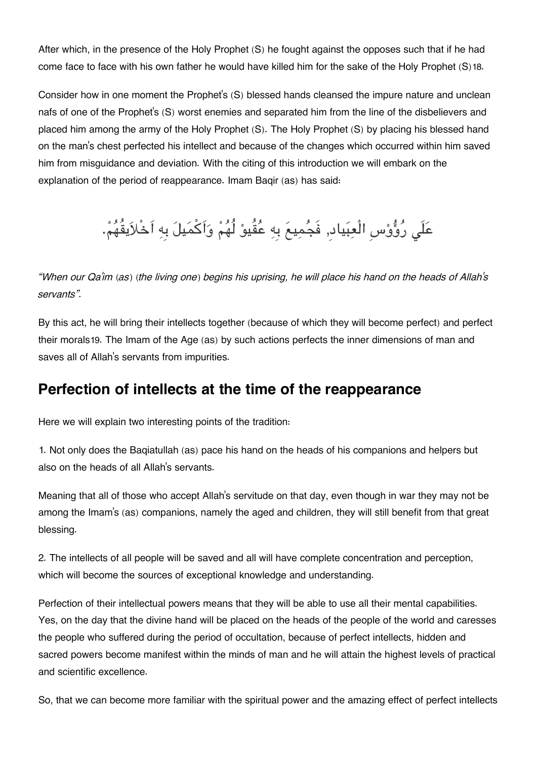After which, in the presence of the Holy Prophet (S) he fought against the opposes such that if he had come face to face with his own father he would have killed him for the sake of the Holy Prophet (S)[18](#page--1-0).

Consider how in one moment the Prophet's (S) blessed hands cleansed the impure nature and unclean nafs of one of the Prophet's (S) worst enemies and separated him from the line of the disbelievers and placed him among the army of the Holy Prophet (S). The Holy Prophet (S) by placing his blessed hand on the man's chest perfected his intellect and because of the changes which occurred within him saved him from misguidance and deviation. With the citing of this introduction we will embark on the explanation of the period of reappearance. Imam Baqir (as) has said:

# عَلَى رُؤُوْسِ الْعِبَياد, فَجُمِيعَ بِهِ عُقُيوْ لُهُمْ وَاَكْمَيلَ بِهِ اَخْلاَيقُهُمْ.

*"When our Qa'im (as) (the living one) begins his uprising, he will place his hand on the heads of Allah's servants".*

By this act, he will bring their intellects together (because of which they will become perfect) and perfect their morals[19](#page--1-0). The Imam of the Age (as) by such actions perfects the inner dimensions of man and saves all of Allah's servants from impurities.

### **[Perfection of intellects at the time of the reappearance](#page--1-0)**

Here we will explain two interesting points of the tradition:

1. Not only does the Baqiatullah (as) pace his hand on the heads of his companions and helpers but also on the heads of all Allah's servants.

Meaning that all of those who accept Allah's servitude on that day, even though in war they may not be among the Imam's (as) companions, namely the aged and children, they will still benefit from that great blessing.

2. The intellects of all people will be saved and all will have complete concentration and perception, which will become the sources of exceptional knowledge and understanding.

Perfection of their intellectual powers means that they will be able to use all their mental capabilities. Yes, on the day that the divine hand will be placed on the heads of the people of the world and caresses the people who suffered during the period of occultation, because of perfect intellects, hidden and sacred powers become manifest within the minds of man and he will attain the highest levels of practical and scientific excellence.

So, that we can become more familiar with the spiritual power and the amazing effect of perfect intellects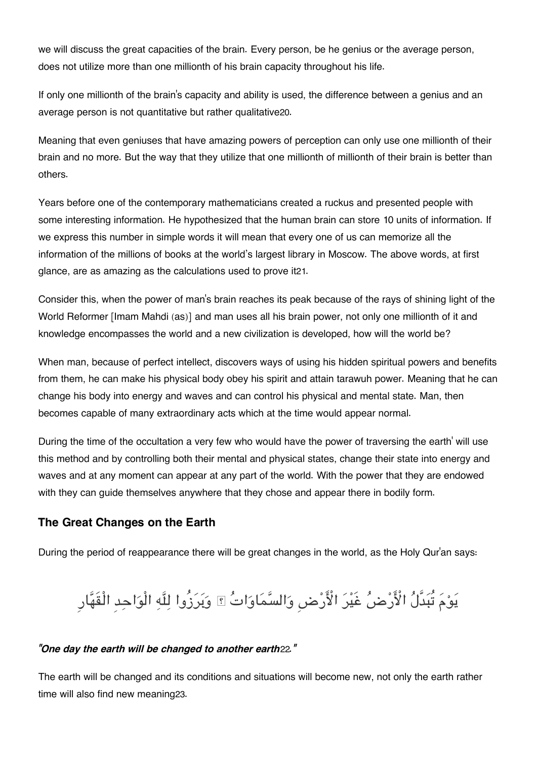we will discuss the great capacities of the brain. Every person, be he genius or the average person, does not utilize more than one millionth of his brain capacity throughout his life.

If only one millionth of the brain's capacity and ability is used, the difference between a genius and an average person is not quantitative but rather qualitative[20](#page--1-0).

Meaning that even geniuses that have amazing powers of perception can only use one millionth of their brain and no more. But the way that they utilize that one millionth of millionth of their brain is better than others.

Years before one of the contemporary mathematicians created a ruckus and presented people with some interesting information. He hypothesized that the human brain can store 10 units of information. If we express this number in simple words it will mean that every one of us can memorize all the information of the millions of books at the world's largest library in Moscow. The above words, at first glance, are as amazing as the calculations used to prove it[21](#page--1-0).

Consider this, when the power of man's brain reaches its peak because of the rays of shining light of the World Reformer [Imam Mahdi (as)] and man uses all his brain power, not only one millionth of it and knowledge encompasses the world and a new civilization is developed, how will the world be?

When man, because of perfect intellect, discovers ways of using his hidden spiritual powers and benefits from them, he can make his physical body obey his spirit and attain tarawuh power. Meaning that he can change his body into energy and waves and can control his physical and mental state. Man, then becomes capable of many extraordinary acts which at the time would appear normal.

During the time of the occultation a very few who would have the power of traversing the earth' will use this method and by controlling both their mental and physical states, change their state into energy and waves and at any moment can appear at any part of the world. With the power that they are endowed with they can guide themselves anywhere that they chose and appear there in bodily form.

#### **[The Great Changes on the Earth](#page--1-0)**

During the period of reappearance there will be great changes in the world, as the Holy Qur'an says:

# يَوْمَ تُبَدَّلُ الْأَرْضُ غَيْرَ الْأَرْضِ وَالسَّمَاوَاتُ ۩ وَبَرَزُوا لِلَّهِ الْوَاحِدِ الْقَهَّارِ

#### *"One day the earth will be changed to another earth*[22](#page--1-0)*."*

The earth will be changed and its conditions and situations will become new, not only the earth rather time will also find new meaning[23](#page--1-0).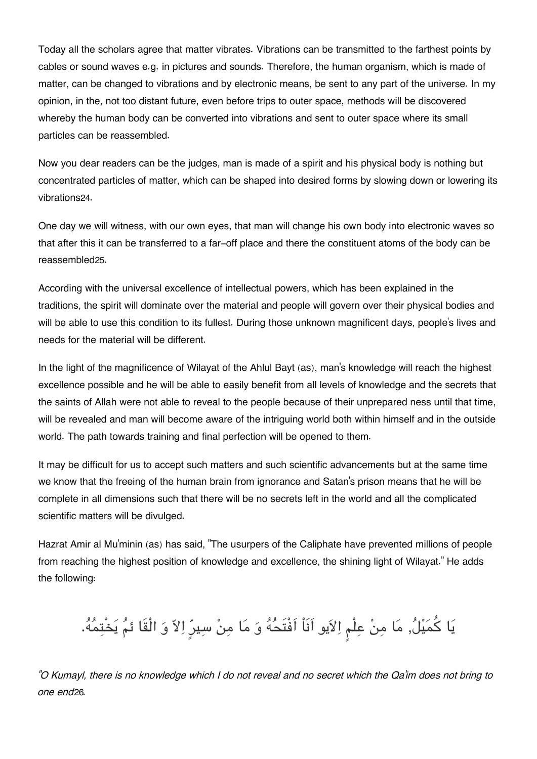Today all the scholars agree that matter vibrates. Vibrations can be transmitted to the farthest points by cables or sound waves e.g. in pictures and sounds. Therefore, the human organism, which is made of matter, can be changed to vibrations and by electronic means, be sent to any part of the universe. In my opinion, in the, not too distant future, even before trips to outer space, methods will be discovered whereby the human body can be converted into vibrations and sent to outer space where its small particles can be reassembled.

Now you dear readers can be the judges, man is made of a spirit and his physical body is nothing but concentrated particles of matter, which can be shaped into desired forms by slowing down or lowering its vibrations[24](#page--1-0).

One day we will witness, with our own eyes, that man will change his own body into electronic waves so that after this it can be transferred to a far-off place and there the constituent atoms of the body can be reassembled[25](#page--1-0).

According with the universal excellence of intellectual powers, which has been explained in the traditions, the spirit will dominate over the material and people will govern over their physical bodies and will be able to use this condition to its fullest. During those unknown magnificent days, people's lives and needs for the material will be different.

In the light of the magnificence of Wilayat of the Ahlul Bayt (as), man's knowledge will reach the highest excellence possible and he will be able to easily benefit from all levels of knowledge and the secrets that the saints of Allah were not able to reveal to the people because of their unprepared ness until that time, will be revealed and man will become aware of the intriguing world both within himself and in the outside world. The path towards training and final perfection will be opened to them.

It may be difficult for us to accept such matters and such scientific advancements but at the same time we know that the freeing of the human brain from ignorance and Satan's prison means that he will be complete in all dimensions such that there will be no secrets left in the world and all the complicated scientific matters will be divulged.

Hazrat Amir al Mu'minin (as) has said, "The usurpers of the Caliphate have prevented millions of people from reaching the highest position of knowledge and excellence, the shining light of Wilayat." He adds the following:

يا كميل, ما من علْم الايو اَنَاْ اَفْتَحه و ما من سيرٍ الا و الْقَا ئم يخْتمه.

*"O Kumayl, there is no knowledge which I do not reveal and no secret which the Qa'im does not bring to one end*[26](#page--1-0)*.*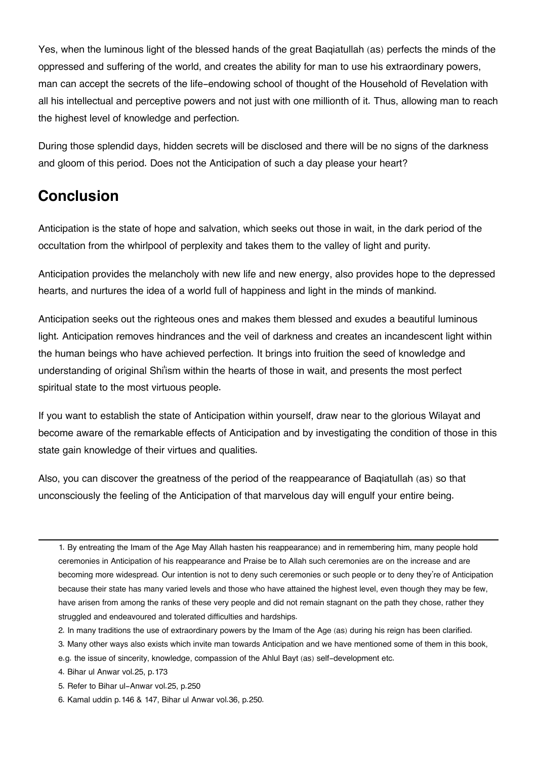Yes, when the luminous light of the blessed hands of the great Baqiatullah (as) perfects the minds of the oppressed and suffering of the world, and creates the ability for man to use his extraordinary powers, man can accept the secrets of the life-endowing school of thought of the Household of Revelation with all his intellectual and perceptive powers and not just with one millionth of it. Thus, allowing man to reach the highest level of knowledge and perfection.

During those splendid days, hidden secrets will be disclosed and there will be no signs of the darkness and gloom of this period. Does not the Anticipation of such a day please your heart?

## **[Conclusion](#page--1-0)**

Anticipation is the state of hope and salvation, which seeks out those in wait, in the dark period of the occultation from the whirlpool of perplexity and takes them to the valley of light and purity.

Anticipation provides the melancholy with new life and new energy, also provides hope to the depressed hearts, and nurtures the idea of a world full of happiness and light in the minds of mankind.

Anticipation seeks out the righteous ones and makes them blessed and exudes a beautiful luminous light. Anticipation removes hindrances and the veil of darkness and creates an incandescent light within the human beings who have achieved perfection. It brings into fruition the seed of knowledge and understanding of original Shi'ism within the hearts of those in wait, and presents the most perfect spiritual state to the most virtuous people.

If you want to establish the state of Anticipation within yourself, draw near to the glorious Wilayat and become aware of the remarkable effects of Anticipation and by investigating the condition of those in this state gain knowledge of their virtues and qualities.

Also, you can discover the greatness of the period of the reappearance of Baqiatullah (as) so that unconsciously the feeling of the Anticipation of that marvelous day will engulf your entire being.

- [4.](#page--1-0) Bihar ul Anwar vol.25, p.173
- [5.](#page--1-0) Refer to Bihar ul-Anwar vol.25, p.250
- [6.](#page--1-0) Kamal uddin p.146 & 147, Bihar ul Anwar vol.36, p.250.

[<sup>1.</sup>](#page--1-0) By entreating the Imam of the Age May Allah hasten his reappearance) and in remembering him, many people hold ceremonies in Anticipation of his reappearance and Praise be to Allah such ceremonies are on the increase and are becoming more widespread. Our intention is not to deny such ceremonies or such people or to deny they're of Anticipation because their state has many varied levels and those who have attained the highest level, even though they may be few, have arisen from among the ranks of these very people and did not remain stagnant on the path they chose, rather they struggled and endeavoured and tolerated difficulties and hardships.

[<sup>2.</sup>](#page--1-0) In many traditions the use of extraordinary powers by the Imam of the Age (as) during his reign has been clarified.

[<sup>3.</sup>](#page--1-0) Many other ways also exists which invite man towards Anticipation and we have mentioned some of them in this book, e.g. the issue of sincerity, knowledge, compassion of the Ahlul Bayt (as) self-development etc.